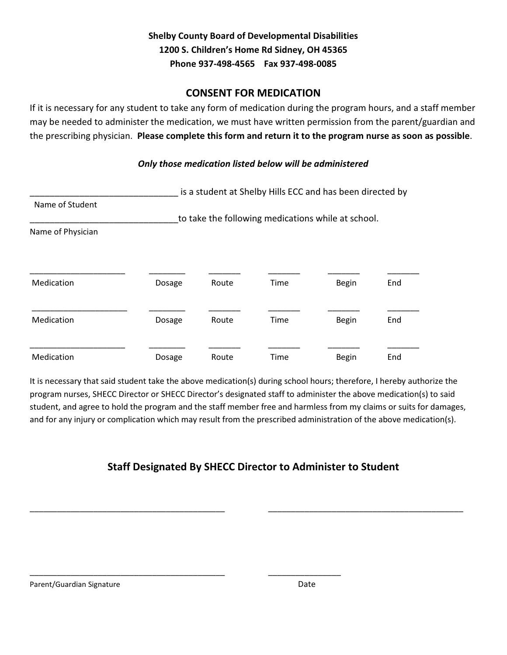# Shelby County Board of Developmental Disabilities 1200 S. Children's Home Rd Sidney, OH 45365 Phone 937-498-4565 Fax 937-498-0085

### CONSENT FOR MEDICATION

If it is necessary for any student to take any form of medication during the program hours, and a staff member may be needed to administer the medication, we must have written permission from the parent/guardian and the prescribing physician. Please complete this form and return it to the program nurse as soon as possible.

#### Only those medication listed below will be administered

|                   |                                                    | is a student at Shelby Hills ECC and has been directed by |      |              |     |  |  |  |  |  |
|-------------------|----------------------------------------------------|-----------------------------------------------------------|------|--------------|-----|--|--|--|--|--|
| Name of Student   | to take the following medications while at school. |                                                           |      |              |     |  |  |  |  |  |
| Name of Physician |                                                    |                                                           |      |              |     |  |  |  |  |  |
| Medication        | Dosage                                             | Route                                                     | Time | <b>Begin</b> | End |  |  |  |  |  |
| Medication        | Dosage                                             | Route                                                     | Time | <b>Begin</b> | End |  |  |  |  |  |
| Medication        | Dosage                                             | Route                                                     | Time | Begin        | End |  |  |  |  |  |

It is necessary that said student take the above medication(s) during school hours; therefore, I hereby authorize the program nurses, SHECC Director or SHECC Director's designated staff to administer the above medication(s) to said student, and agree to hold the program and the staff member free and harmless from my claims or suits for damages, and for any injury or complication which may result from the prescribed administration of the above medication(s).

# Staff Designated By SHECC Director to Administer to Student

\_\_\_\_\_\_\_\_\_\_\_\_\_\_\_\_\_\_\_\_\_\_\_\_\_\_\_\_\_\_\_\_\_\_\_\_\_\_\_\_\_\_\_ \_\_\_\_\_\_\_\_\_\_\_\_\_\_\_\_\_\_\_\_\_\_\_\_\_\_\_\_\_\_\_\_\_\_\_\_\_\_\_\_\_\_\_

\_\_\_\_\_\_\_\_\_\_\_\_\_\_\_\_\_\_\_\_\_\_\_\_\_\_\_\_\_\_\_\_\_\_\_\_\_\_\_\_\_\_\_ \_\_\_\_\_\_\_\_\_\_\_\_\_\_\_\_